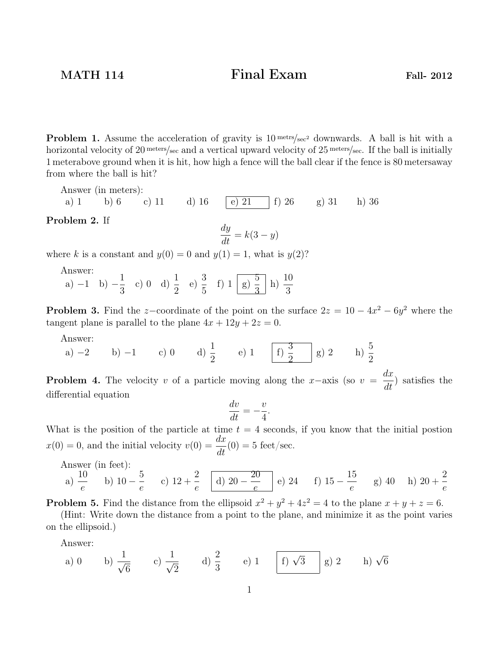MATH 114 Final Exam Fall- 2012

**Problem 1.** Assume the acceleration of gravity is  $10^{text/sec^2}$  downwards. A ball is hit with a horizontal velocity of 20 meters/sec and a vertical upward velocity of 25 meters/sec. If the ball is initially 1 meterabove ground when it is hit, how high a fence will the ball clear if the fence is 80 metersaway from where the ball is hit?

Answer (in meters):

a) 1 b) 6 c) 11 d) 16 e) 21 | f) 26 g) 31 h) 36 Problem 2. If

$$
\frac{dy}{dt} = k(3 - y)
$$

where k is a constant and  $y(0) = 0$  and  $y(1) = 1$ , what is  $y(2)$ ?

Answer:

a)  $-1$  b)  $-\frac{1}{2}$ 3 c) 0 d)  $\frac{1}{2}$ 2 e)  $\frac{3}{5}$ 5 f) 1  $\boxed{g}$   $\frac{5}{2}$ 3 h)  $\frac{10}{2}$ 3

**Problem 3.** Find the z-coordinate of the point on the surface  $2z = 10 - 4x^2 - 6y^2$  where the tangent plane is parallel to the plane  $4x + 12y + 2z = 0$ .

Answer:

a)  $-2$  b)  $-1$  c) 0 d)  $\frac{1}{2}$ 2 e) 1  $\boxed{f}$   $\frac{3}{2}$ 2 g) 2 h)  $\frac{5}{2}$ 2

**Problem 4.** The velocity v of a particle moving along the x–axis (so  $v = \frac{dx}{dt}$  $\frac{d}{dt}$ ) satisfies the differential equation

$$
\frac{dv}{dt} = -\frac{v}{4}.
$$

What is the position of the particle at time  $t = 4$  seconds, if you know that the initial postion  $x(0) = 0$ , and the initial velocity  $v(0) = \frac{dx}{dt}$  $\frac{dE}{dt}(0) = 5$  feet/sec.

Answer (in feet):  
\na) 
$$
\frac{10}{e}
$$
 b)  $10 - \frac{5}{e}$  c)  $12 + \frac{2}{e}$  d)  $20 - \frac{20}{e}$  e) 24 f)  $15 - \frac{15}{e}$  g) 40 h)  $20 + \frac{2}{e}$ 

**Problem 5.** Find the distance from the ellipsoid  $x^2 + y^2 + 4z^2 = 4$  to the plane  $x + y + z = 6$ .

(Hint: Write down the distance from a point to the plane, and minimize it as the point varies on the ellipsoid.)

Answer:

a) 0 b) 
$$
\frac{1}{\sqrt{6}}
$$
 c)  $\frac{1}{\sqrt{2}}$  d)  $\frac{2}{3}$  e) 1 f)  $\sqrt{3}$  g) 2 h)  $\sqrt{6}$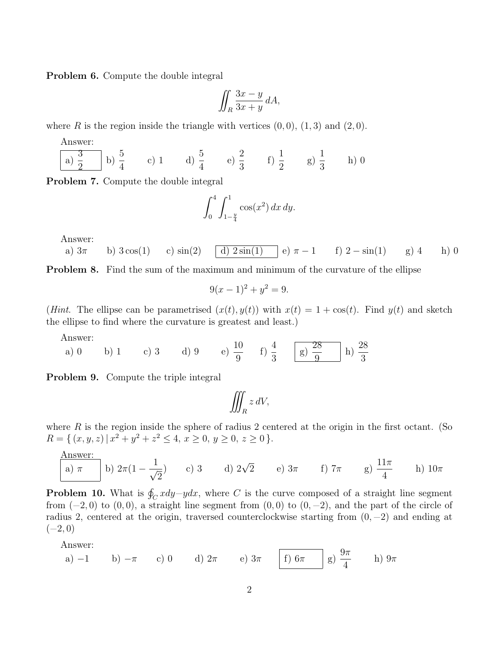Problem 6. Compute the double integral

$$
\iint_R \frac{3x-y}{3x+y} dA,
$$

where R is the region inside the triangle with vertices  $(0,0)$ ,  $(1,3)$  and  $(2,0)$ .

Answer:  
\n
$$
\frac{3}{a} \begin{bmatrix} 5 \\ a \end{bmatrix} = \frac{5}{4}
$$
\n
$$
b) \begin{bmatrix} 5 \\ 4 \end{bmatrix} = \frac{1}{4}
$$
\n
$$
c) \begin{bmatrix} 1 \\ 4 \end{bmatrix} = \frac{5}{4}
$$
\n
$$
d) \begin{bmatrix} 5 \\ 4 \end{bmatrix} = \frac{1}{3}
$$
\n
$$
e) \begin{bmatrix} 2 \\ 3 \end{bmatrix} = \frac{1}{3}
$$
\n
$$
f) \begin{bmatrix} 1 \\ 2 \end{bmatrix} = \frac{1}{3}
$$
\n
$$
h) \begin{bmatrix} 0 \\ 0 \end{bmatrix} = \frac{1}{3}
$$

Problem 7. Compute the double integral

$$
\int_0^4 \int_{1-\frac{y}{4}}^1 \cos(x^2) \, dx \, dy.
$$

Answer:

a) 
$$
3\pi
$$
 b)  $3\cos(1)$  c)  $\sin(2)$  d)  $2\sin(1)$  e)  $\pi - 1$  f)  $2 - \sin(1)$  g) 4 h) 0

**Problem 8.** Find the sum of the maximum and minimum of the curvature of the ellipse

$$
9(x-1)^2 + y^2 = 9.
$$

(Hint. The ellipse can be parametrised  $(x(t), y(t))$  with  $x(t) = 1 + \cos(t)$ . Find  $y(t)$  and sketch the ellipse to find where the curvature is greatest and least.)

Answer:

a) 0 b) 1 c) 3 d) 9 e) 
$$
\frac{10}{9}
$$
 f)  $\frac{4}{3}$  g)  $\frac{28}{9}$  h)  $\frac{28}{3}$ 

Problem 9. Compute the triple integral

$$
\iiint_R z\,dV,
$$

where  $R$  is the region inside the sphere of radius 2 centered at the origin in the first octant. (So  $R = \{ (x, y, z) | x^2 + y^2 + z^2 \leq 4, x \geq 0, y \geq 0, z \geq 0 \}.$ 

Answer:  
\n(a) 
$$
\pi
$$
 b)  $2\pi (1 - \frac{1}{\sqrt{2}})$  c) 3 d)  $2\sqrt{2}$  e)  $3\pi$  f)  $7\pi$  g)  $\frac{11\pi}{4}$  h)  $10\pi$ 

**Problem 10.** What is  $\oint_C x dy - y dx$ , where C is the curve composed of a straight line segment from  $(-2,0)$  to  $(0,0)$ , a straight line segment from  $(0,0)$  to  $(0,-2)$ , and the part of the circle of radius 2, centered at the origin, traversed counterclockwise starting from  $(0, -2)$  and ending at  $(-2, 0)$ 

Answer:

a) -1 b) -
$$
\pi
$$
 c) 0 d)  $2\pi$  e)  $3\pi$  f)  $6\pi$  g)  $\frac{9\pi}{4}$  h)  $9\pi$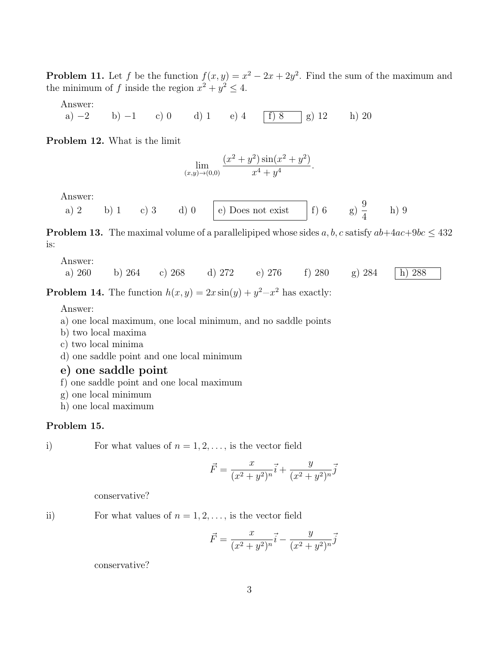**Problem 11.** Let f be the function  $f(x, y) = x^2 - 2x + 2y^2$ . Find the sum of the maximum and the minimum of f inside the region  $x^2 + y^2 \le 4$ .

Answer:

a) −2 b) −1 c) 0 d) 1 e) 4 | f) 8 | g) 12 h) 20

Problem 12. What is the limit

$$
\lim_{(x,y)\to(0,0)}\frac{(x^2+y^2)\sin(x^2+y^2)}{x^4+y^4}.
$$

Answer:

a) 2 b) 1 c) 3 d) 0 e) Does not exist f) 6 g)  $\frac{9}{4}$ 4 h) 9

**Problem 13.** The maximal volume of a parallelipiped whose sides a, b, c satisfy  $ab+4ac+9bc \leq 432$ is:

## Answer: a) 260 b) 264 c) 268 d) 272 e) 276 f) 280 g) 284 h) 288

**Problem 14.** The function  $h(x, y) = 2x \sin(y) + y^2 - x^2$  has exactly:

Answer:

- a) one local maximum, one local minimum, and no saddle points
- b) two local maxima
- c) two local minima
- d) one saddle point and one local minimum

## e) one saddle point

- f) one saddle point and one local maximum
- g) one local minimum
- h) one local maximum

## Problem 15.

i) For what values of  $n = 1, 2, \ldots$ , is the vector field

$$
\vec{F} = \frac{x}{(x^2 + y^2)^n} \vec{i} + \frac{y}{(x^2 + y^2)^n} \vec{j}
$$

conservative?

ii) For what values of  $n = 1, 2, \ldots$ , is the vector field

$$
\vec{F} = \frac{x}{(x^2 + y^2)^n} \vec{i} - \frac{y}{(x^2 + y^2)^n} \vec{j}
$$

conservative?